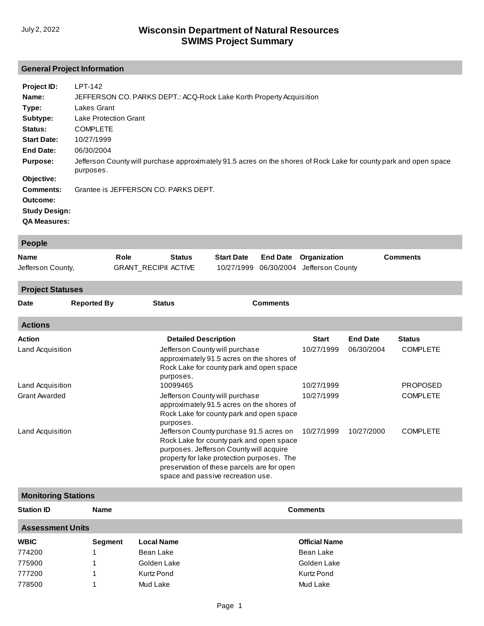# **General Project Information**

| Project ID:                                                                 | LPT-142                                                                                                           |
|-----------------------------------------------------------------------------|-------------------------------------------------------------------------------------------------------------------|
| Name:                                                                       | JEFFERSON CO. PARKS DEPT.: ACQ-Rock Lake Korth Property Acquisition                                               |
| Type:                                                                       | Lakes Grant                                                                                                       |
| Subtype:                                                                    | Lake Protection Grant                                                                                             |
| Status:                                                                     | <b>COMPLETE</b>                                                                                                   |
| <b>Start Date:</b>                                                          | 10/27/1999                                                                                                        |
| <b>End Date:</b>                                                            | 06/30/2004                                                                                                        |
| <b>Purpose:</b>                                                             | Jefferson County will purchase approximately 91.5 acres on the shores of Rock Lake for county park and open space |
| Objective:                                                                  | purposes.                                                                                                         |
| <b>Comments:</b><br>Outcome:<br><b>Study Design:</b><br><b>QA Measures:</b> | Grantee is JEFFERSON CO. PARKS DEPT.                                                                              |

| People                  |                             |               |                   |                                        |                 |
|-------------------------|-----------------------------|---------------|-------------------|----------------------------------------|-----------------|
| <b>Name</b>             | <b>Role</b>                 | <b>Status</b> | <b>Start Date</b> | <b>End Date</b> Organization           | <b>Comments</b> |
| Jefferson County,       | <b>GRANT RECIPII ACTIVE</b> |               |                   | 10/27/1999 06/30/2004 Jefferson County |                 |
| <b>Project Statuses</b> |                             |               |                   |                                        |                 |

| <b>Date</b>      | <b>Reported By</b> | <b>Status</b>                                                                                                                                                                                                                                                   | <b>Comments</b> |                 |                 |
|------------------|--------------------|-----------------------------------------------------------------------------------------------------------------------------------------------------------------------------------------------------------------------------------------------------------------|-----------------|-----------------|-----------------|
| <b>Actions</b>   |                    |                                                                                                                                                                                                                                                                 |                 |                 |                 |
| Action           |                    | <b>Detailed Description</b>                                                                                                                                                                                                                                     | <b>Start</b>    | <b>End Date</b> | <b>Status</b>   |
| Land Acquisition |                    | Jefferson County will purchase<br>approximately 91.5 acres on the shores of<br>Rock Lake for county park and open space<br>purposes.                                                                                                                            | 10/27/1999      | 06/30/2004      | <b>COMPLETE</b> |
| Land Acquisition |                    | 10099465                                                                                                                                                                                                                                                        | 10/27/1999      |                 | <b>PROPOSED</b> |
| Grant Awarded    |                    | Jefferson County will purchase<br>approximately 91.5 acres on the shores of<br>Rock Lake for county park and open space<br>purposes.                                                                                                                            | 10/27/1999      |                 | <b>COMPLETE</b> |
| Land Acquisition |                    | Jefferson County purchase 91.5 acres on<br>Rock Lake for county park and open space<br>purposes. Jefferson County will acquire<br>property for lake protection purposes. The<br>preservation of these parcels are for open<br>space and passive recreation use. | 10/27/1999      | 10/27/2000      | <b>COMPLETE</b> |

| <b>Monitoring Stations</b> |             |                   |                      |  |  |  |
|----------------------------|-------------|-------------------|----------------------|--|--|--|
| <b>Station ID</b>          | <b>Name</b> |                   | <b>Comments</b>      |  |  |  |
| <b>Assessment Units</b>    |             |                   |                      |  |  |  |
| <b>WBIC</b>                | Segment     | <b>Local Name</b> | <b>Official Name</b> |  |  |  |
| 774200                     |             | Bean Lake         | Bean Lake            |  |  |  |
| 775900                     |             | Golden Lake       | Golden Lake          |  |  |  |
| 777200                     |             | Kurtz Pond        | Kurtz Pond           |  |  |  |
| 778500                     |             | Mud Lake          | Mud Lake             |  |  |  |
|                            |             |                   |                      |  |  |  |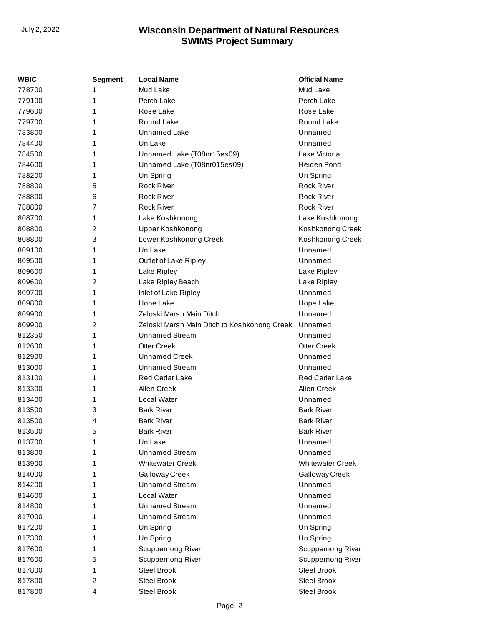| <b>WBIC</b> | <b>Segment</b> | <b>Local Name</b>                            | <b>Official Name</b>    |
|-------------|----------------|----------------------------------------------|-------------------------|
| 778700      | 1              | Mud Lake                                     | Mud Lake                |
| 779100      | 1              | Perch Lake                                   | Perch Lake              |
| 779600      | 1              | Rose Lake                                    | Rose Lake               |
| 779700      | 1              | Round Lake                                   | Round Lake              |
| 783800      | 1              | <b>Unnamed Lake</b>                          | Unnamed                 |
| 784400      | 1              | Un Lake                                      | Unnamed                 |
| 784500      | 1              | Unnamed Lake (T08nr15es09)                   | Lake Victoria           |
| 784600      | 1              | Unnamed Lake (T08nr015es09)                  | <b>Heiden Pond</b>      |
| 788200      | 1              | Un Spring                                    | Un Spring               |
| 788800      | 5              | <b>Rock River</b>                            | <b>Rock River</b>       |
| 788800      | 6              | <b>Rock River</b>                            | <b>Rock River</b>       |
| 788800      | 7              | <b>Rock River</b>                            | <b>Rock River</b>       |
| 808700      | 1              | Lake Koshkonong                              | Lake Koshkonong         |
| 808800      | 2              | Upper Koshkonong                             | Koshkonong Creek        |
| 808800      | 3              | Lower Koshkonong Creek                       | Koshkonong Creek        |
| 809100      | 1              | Un Lake                                      | Unnamed                 |
| 809500      | 1              | Outlet of Lake Ripley                        | Unnamed                 |
| 809600      | 1              | Lake Ripley                                  | Lake Ripley             |
| 809600      | 2              | Lake Ripley Beach                            | Lake Ripley             |
| 809700      | 1              | Inlet of Lake Ripley                         | Unnamed                 |
| 809800      | 1              | Hope Lake                                    | Hope Lake               |
| 809900      | 1              | Zeloski Marsh Main Ditch                     | Unnamed                 |
| 809900      | 2              | Zeloski Marsh Main Ditch to Koshkonong Creek | Unnamed                 |
| 812350      | 1              | <b>Unnamed Stream</b>                        | Unnamed                 |
| 812600      | 1              | <b>Otter Creek</b>                           | <b>Otter Creek</b>      |
| 812900      | 1              | <b>Unnamed Creek</b>                         | Unnamed                 |
| 813000      | 1              | <b>Unnamed Stream</b>                        | Unnamed                 |
| 813100      | 1              | <b>Red Cedar Lake</b>                        | Red Cedar Lake          |
| 813300      | 1              | Allen Creek                                  | Allen Creek             |
| 813400      | 1              | Local Water                                  | Unnamed                 |
| 813500      | 3              | <b>Bark River</b>                            | <b>Bark River</b>       |
| 813500      | 4              | <b>Bark River</b>                            | <b>Bark River</b>       |
| 813500      | 5              | <b>Bark River</b>                            | <b>Bark River</b>       |
| 813700      | 1              | Un Lake                                      | Unnamed                 |
| 813800      | 1              | <b>Unnamed Stream</b>                        | Unnamed                 |
| 813900      | 1              | <b>Whitewater Creek</b>                      | <b>Whitewater Creek</b> |
| 814000      | 1              | Galloway Creek                               | Galloway Creek          |
| 814200      | 1              | <b>Unnamed Stream</b>                        | Unnamed                 |
| 814600      | 1              | Local Water                                  | Unnamed                 |
| 814800      | 1              | <b>Unnamed Stream</b>                        | Unnamed                 |
| 817000      | 1              | <b>Unnamed Stream</b>                        | Unnamed                 |
| 817200      | 1              | Un Spring                                    | Un Spring               |
| 817300      | 1              | Un Spring                                    | Un Spring               |
| 817600      | 1              | Scuppernong River                            | Scuppernong River       |
| 817600      | 5              | Scuppernong River                            | Scuppernong River       |
| 817800      | 1              | <b>Steel Brook</b>                           | <b>Steel Brook</b>      |
| 817800      | 2              | <b>Steel Brook</b>                           | <b>Steel Brook</b>      |
| 817800      | 4              | Steel Brook                                  | Steel Brook             |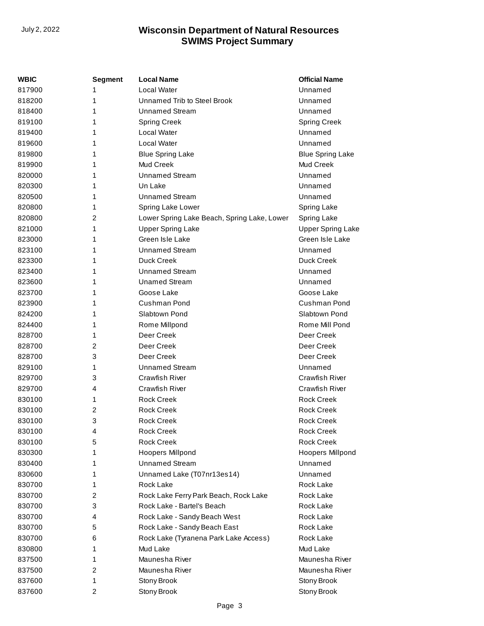| WBIC   | <b>Segment</b> | <b>Local Name</b>                           | <b>Official Name</b>     |
|--------|----------------|---------------------------------------------|--------------------------|
| 817900 | 1              | <b>Local Water</b>                          | Unnamed                  |
| 818200 | 1              | Unnamed Trib to Steel Brook                 | Unnamed                  |
| 818400 | 1              | <b>Unnamed Stream</b>                       | Unnamed                  |
| 819100 | 1              | <b>Spring Creek</b>                         | <b>Spring Creek</b>      |
| 819400 | 1              | Local Water                                 | Unnamed                  |
| 819600 | 1              | Local Water                                 | Unnamed                  |
| 819800 | 1              | <b>Blue Spring Lake</b>                     | <b>Blue Spring Lake</b>  |
| 819900 | 1              | Mud Creek                                   | Mud Creek                |
| 820000 | 1              | <b>Unnamed Stream</b>                       | Unnamed                  |
| 820300 | 1              | Un Lake                                     | Unnamed                  |
| 820500 | 1              | Unnamed Stream                              | Unnamed                  |
| 820800 | 1              | Spring Lake Lower                           | Spring Lake              |
| 820800 | 2              | Lower Spring Lake Beach, Spring Lake, Lower | <b>Spring Lake</b>       |
| 821000 | 1              | <b>Upper Spring Lake</b>                    | <b>Upper Spring Lake</b> |
| 823000 | 1              | Green Isle Lake                             | Green Isle Lake          |
| 823100 | 1              | <b>Unnamed Stream</b>                       | Unnamed                  |
| 823300 | 1              | Duck Creek                                  | Duck Creek               |
| 823400 | 1              | <b>Unnamed Stream</b>                       | Unnamed                  |
| 823600 | 1              | <b>Unamed Stream</b>                        | Unnamed                  |
| 823700 | 1              | Goose Lake                                  | Goose Lake               |
| 823900 | 1              | Cushman Pond                                | Cushman Pond             |
| 824200 | 1              | Slabtown Pond                               | Slabtown Pond            |
| 824400 | 1              | Rome Millpond                               | Rome Mill Pond           |
| 828700 | 1              | Deer Creek                                  | Deer Creek               |
| 828700 | 2              | Deer Creek                                  | Deer Creek               |
| 828700 | 3              | Deer Creek                                  | Deer Creek               |
| 829100 | 1              | <b>Unnamed Stream</b>                       | Unnamed                  |
| 829700 | 3              | <b>Crawfish River</b>                       | <b>Crawfish River</b>    |
| 829700 | 4              | <b>Crawfish River</b>                       | <b>Crawfish River</b>    |
| 830100 | 1              | <b>Rock Creek</b>                           | <b>Rock Creek</b>        |
| 830100 | 2              | <b>Rock Creek</b>                           | <b>Rock Creek</b>        |
| 830100 | 3              | <b>Rock Creek</b>                           | <b>Rock Creek</b>        |
| 830100 | 4              | <b>Rock Creek</b>                           | <b>Rock Creek</b>        |
| 830100 | 5              | <b>Rock Creek</b>                           | <b>Rock Creek</b>        |
| 830300 | 1              | <b>Hoopers Millpond</b>                     | Hoopers Millpond         |
| 830400 | 1              | <b>Unnamed Stream</b>                       | Unnamed                  |
| 830600 | 1              | Unnamed Lake (T07nr13es14)                  | Unnamed                  |
| 830700 | 1              | Rock Lake                                   | Rock Lake                |
| 830700 | 2              | Rock Lake Ferry Park Beach, Rock Lake       | Rock Lake                |
| 830700 | 3              | Rock Lake - Bartel's Beach                  | Rock Lake                |
| 830700 | 4              | Rock Lake - Sandy Beach West                | Rock Lake                |
| 830700 | 5              | Rock Lake - Sandy Beach East                | Rock Lake                |
| 830700 | 6              | Rock Lake (Tyranena Park Lake Access)       | Rock Lake                |
| 830800 | 1              | Mud Lake                                    | Mud Lake                 |
| 837500 | 1              | Maunesha River                              | Maunesha River           |
| 837500 | 2              | Maunesha River                              | Maunesha River           |
| 837600 | 1              | Stony Brook                                 | Stony Brook              |
| 837600 | 2              | Stony Brook                                 | Stony Brook              |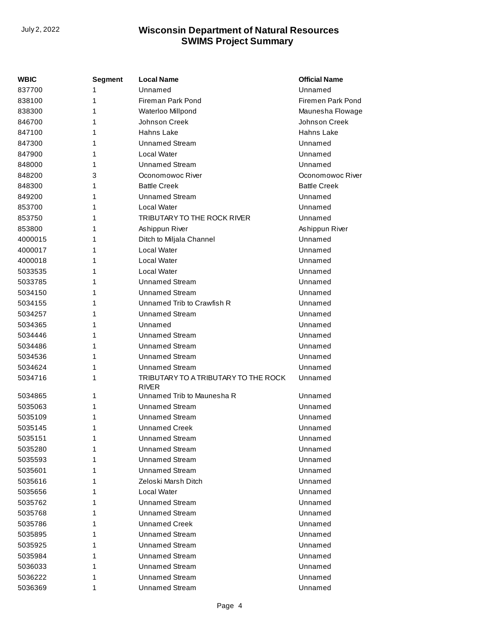| WBIC    | <b>Segment</b> | <b>Local Name</b>                                    | <b>Official Name</b> |
|---------|----------------|------------------------------------------------------|----------------------|
| 837700  | 1              | Unnamed                                              | Unnamed              |
| 838100  | 1              | Fireman Park Pond                                    | Firemen Park Pond    |
| 838300  | 1              | Waterloo Millpond                                    | Maunesha Flowage     |
| 846700  | 1              | Johnson Creek                                        | Johnson Creek        |
| 847100  | 1              | Hahns Lake                                           | Hahns Lake           |
| 847300  | 1              | <b>Unnamed Stream</b>                                | Unnamed              |
| 847900  | 1              | Local Water                                          | Unnamed              |
| 848000  | 1              | <b>Unnamed Stream</b>                                | Unnamed              |
| 848200  | 3              | Oconomowoc River                                     | Oconomowoc River     |
| 848300  | 1              | <b>Battle Creek</b>                                  | <b>Battle Creek</b>  |
| 849200  | 1              | <b>Unnamed Stream</b>                                | Unnamed              |
| 853700  | 1              | Local Water                                          | Unnamed              |
| 853750  | 1              | TRIBUTARY TO THE ROCK RIVER                          | Unnamed              |
| 853800  | 1              | Ashippun River                                       | Ashippun River       |
| 4000015 | 1              | Ditch to Miljala Channel                             | Unnamed              |
| 4000017 | 1              | Local Water                                          | Unnamed              |
| 4000018 | 1              | Local Water                                          | Unnamed              |
| 5033535 | 1              | Local Water                                          | Unnamed              |
| 5033785 | 1              | <b>Unnamed Stream</b>                                | Unnamed              |
| 5034150 | 1              | <b>Unnamed Stream</b>                                | Unnamed              |
| 5034155 | 1              | Unnamed Trib to Crawfish R                           | Unnamed              |
| 5034257 | 1              | <b>Unnamed Stream</b>                                | Unnamed              |
| 5034365 | 1              | Unnamed                                              | Unnamed              |
| 5034446 | 1              | <b>Unnamed Stream</b>                                | Unnamed              |
| 5034486 | 1              | <b>Unnamed Stream</b>                                | Unnamed              |
| 5034536 | 1              | <b>Unnamed Stream</b>                                | Unnamed              |
| 5034624 | 1              | <b>Unnamed Stream</b>                                | Unnamed              |
| 5034716 | 1              | TRIBUTARY TO A TRIBUTARY TO THE ROCK<br><b>RIVER</b> | Unnamed              |
| 5034865 | 1              | Unnamed Trib to Maunesha R                           | Unnamed              |
| 5035063 | 1              | <b>Unnamed Stream</b>                                | Unnamed              |
| 5035109 | 1              | <b>Unnamed Stream</b>                                | Unnamed              |
| 5035145 | 1              | <b>Unnamed Creek</b>                                 | Unnamed              |
| 5035151 | 1              | <b>Unnamed Stream</b>                                | Unnamed              |
| 5035280 | 1              | <b>Unnamed Stream</b>                                | Unnamed              |
| 5035593 | 1              | <b>Unnamed Stream</b>                                | Unnamed              |
| 5035601 | 1              | <b>Unnamed Stream</b>                                | Unnamed              |
| 5035616 | 1              | Zeloski Marsh Ditch                                  | Unnamed              |
| 5035656 | 1              | Local Water                                          | Unnamed              |
| 5035762 | 1              | <b>Unnamed Stream</b>                                | Unnamed              |
| 5035768 | 1              | <b>Unnamed Stream</b>                                | Unnamed              |
| 5035786 | 1              | <b>Unnamed Creek</b>                                 | Unnamed              |
| 5035895 | 1              | <b>Unnamed Stream</b>                                | Unnamed              |
| 5035925 | 1              | <b>Unnamed Stream</b>                                | Unnamed              |
| 5035984 | 1              | <b>Unnamed Stream</b>                                | Unnamed              |
| 5036033 | 1              | <b>Unnamed Stream</b>                                | Unnamed              |
| 5036222 | 1              | <b>Unnamed Stream</b>                                | Unnamed              |
| 5036369 | 1              | <b>Unnamed Stream</b>                                | Unnamed              |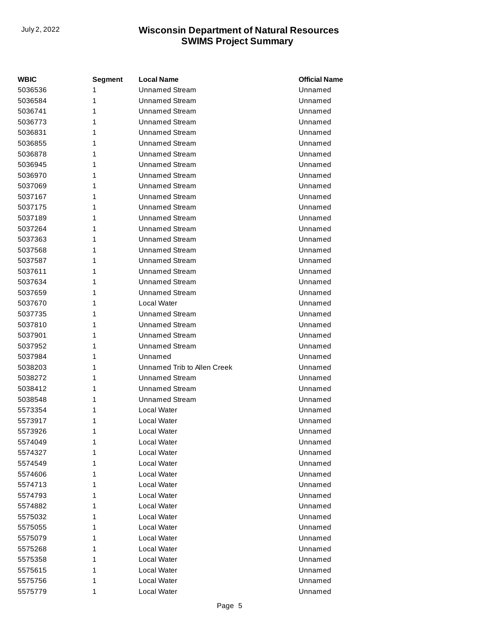| <b>WBIC</b> | Segment | <b>Local Name</b>           | <b>Official Name</b> |
|-------------|---------|-----------------------------|----------------------|
| 5036536     | 1       | <b>Unnamed Stream</b>       | Unnamed              |
| 5036584     | 1       | <b>Unnamed Stream</b>       | Unnamed              |
| 5036741     | 1       | <b>Unnamed Stream</b>       | Unnamed              |
| 5036773     | 1       | <b>Unnamed Stream</b>       | Unnamed              |
| 5036831     | 1       | <b>Unnamed Stream</b>       | Unnamed              |
| 5036855     | 1       | <b>Unnamed Stream</b>       | Unnamed              |
| 5036878     | 1       | <b>Unnamed Stream</b>       | Unnamed              |
| 5036945     | 1       | <b>Unnamed Stream</b>       | Unnamed              |
| 5036970     | 1       | <b>Unnamed Stream</b>       | Unnamed              |
| 5037069     | 1       | <b>Unnamed Stream</b>       | Unnamed              |
| 5037167     | 1       | <b>Unnamed Stream</b>       | Unnamed              |
| 5037175     | 1       | <b>Unnamed Stream</b>       | Unnamed              |
| 5037189     | 1       | <b>Unnamed Stream</b>       | Unnamed              |
| 5037264     | 1       | <b>Unnamed Stream</b>       | Unnamed              |
| 5037363     | 1       | <b>Unnamed Stream</b>       | Unnamed              |
| 5037568     | 1       | <b>Unnamed Stream</b>       | Unnamed              |
| 5037587     | 1       | <b>Unnamed Stream</b>       | Unnamed              |
| 5037611     | 1       | <b>Unnamed Stream</b>       | Unnamed              |
| 5037634     | 1       | <b>Unnamed Stream</b>       | Unnamed              |
| 5037659     | 1       | <b>Unnamed Stream</b>       | Unnamed              |
| 5037670     | 1       | Local Water                 | Unnamed              |
| 5037735     | 1       | <b>Unnamed Stream</b>       | Unnamed              |
| 5037810     | 1       | <b>Unnamed Stream</b>       | Unnamed              |
| 5037901     | 1       | <b>Unnamed Stream</b>       | Unnamed              |
| 5037952     | 1       | <b>Unnamed Stream</b>       | Unnamed              |
| 5037984     | 1       | Unnamed                     | Unnamed              |
| 5038203     | 1       | Unnamed Trib to Allen Creek | Unnamed              |
| 5038272     | 1       | <b>Unnamed Stream</b>       | Unnamed              |
| 5038412     | 1       | <b>Unnamed Stream</b>       | Unnamed              |
| 5038548     | 1       | <b>Unnamed Stream</b>       | Unnamed              |
| 5573354     | 1       | Local Water                 | Unnamed              |
| 5573917     | 1       | Local Water                 | Unnamed              |
| 5573926     | 1       | Local Water                 | Unnamed              |
| 5574049     | 1       | Local Water                 | Unnamed              |
| 5574327     | 1       | Local Water                 | Unnamed              |
| 5574549     | 1       | Local Water                 | Unnamed              |
| 5574606     | 1       | Local Water                 | Unnamed              |
| 5574713     | 1       | Local Water                 | Unnamed              |
| 5574793     | 1       | Local Water                 | Unnamed              |
| 5574882     | 1       | Local Water                 | Unnamed              |
| 5575032     | 1       | Local Water                 | Unnamed              |
| 5575055     | 1       | Local Water                 | Unnamed              |
| 5575079     | 1       | Local Water                 | Unnamed              |
| 5575268     | 1       | Local Water                 | Unnamed              |
| 5575358     | 1       | Local Water                 | Unnamed              |
| 5575615     | 1       | Local Water                 | Unnamed              |
| 5575756     | 1       | Local Water                 | Unnamed              |
| 5575779     | 1       | Local Water                 | Unnamed              |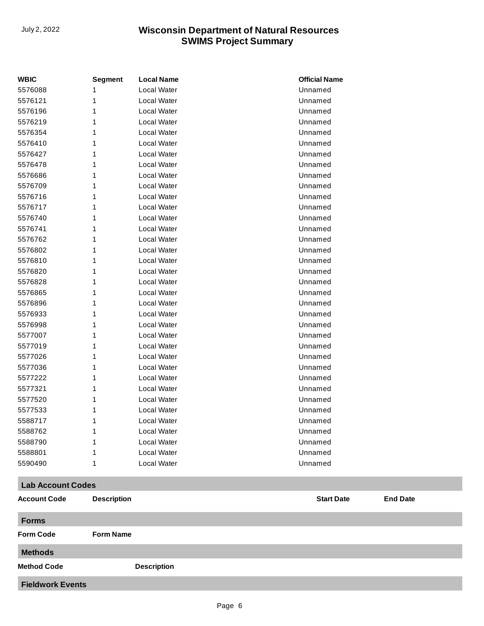**Fieldwork Events**

| <b>WBIC</b>              | <b>Segment</b>     | <b>Local Name</b>  | <b>Official Name</b>                 |
|--------------------------|--------------------|--------------------|--------------------------------------|
| 5576088                  | 1                  | Local Water        | Unnamed                              |
| 5576121                  | 1                  | Local Water        | Unnamed                              |
| 5576196                  | 1                  | Local Water        | Unnamed                              |
| 5576219                  | 1                  | Local Water        | Unnamed                              |
| 5576354                  | 1                  | Local Water        | Unnamed                              |
| 5576410                  | 1                  | Local Water        | Unnamed                              |
| 5576427                  | 1                  | Local Water        | Unnamed                              |
| 5576478                  | 1                  | Local Water        | Unnamed                              |
| 5576686                  | 1                  | Local Water        | Unnamed                              |
| 5576709                  | 1                  | Local Water        | Unnamed                              |
| 5576716                  | 1                  | Local Water        | Unnamed                              |
| 5576717                  | 1                  | Local Water        | Unnamed                              |
| 5576740                  | 1                  | Local Water        | Unnamed                              |
| 5576741                  | 1                  | Local Water        | Unnamed                              |
| 5576762                  | 1                  | Local Water        | Unnamed                              |
| 5576802                  | 1                  | Local Water        | Unnamed                              |
| 5576810                  | 1                  | Local Water        | Unnamed                              |
| 5576820                  | 1                  | Local Water        | Unnamed                              |
| 5576828                  | 1                  | Local Water        | Unnamed                              |
| 5576865                  | 1                  | Local Water        | Unnamed                              |
| 5576896                  | 1                  | Local Water        | Unnamed                              |
| 5576933                  | 1                  | Local Water        | Unnamed                              |
| 5576998                  | 1                  | Local Water        | Unnamed                              |
| 5577007                  | 1                  | Local Water        | Unnamed                              |
| 5577019                  | 1                  | Local Water        | Unnamed                              |
| 5577026                  | 1                  | Local Water        | Unnamed                              |
| 5577036                  | 1                  | Local Water        | Unnamed                              |
| 5577222                  | 1                  | Local Water        | Unnamed                              |
| 5577321                  | 1                  | Local Water        | Unnamed                              |
| 5577520                  | 1                  | Local Water        | Unnamed                              |
| 5577533                  | 1                  | Local Water        | Unnamed                              |
| 5588717                  | 1                  | Local Water        | Unnamed                              |
| 5588762                  | 1                  | Local Water        | Unnamed                              |
| 5588790                  | 1                  | Local Water        | Unnamed                              |
| 5588801                  | 1                  | Local Water        | Unnamed                              |
| 5590490                  | 1                  | Local Water        | Unnamed                              |
| <b>Lab Account Codes</b> |                    |                    |                                      |
| <b>Account Code</b>      | <b>Description</b> |                    | <b>Start Date</b><br><b>End Date</b> |
| <b>Forms</b>             |                    |                    |                                      |
| <b>Form Code</b>         | <b>Form Name</b>   |                    |                                      |
| <b>Methods</b>           |                    |                    |                                      |
| <b>Method Code</b>       |                    | <b>Description</b> |                                      |